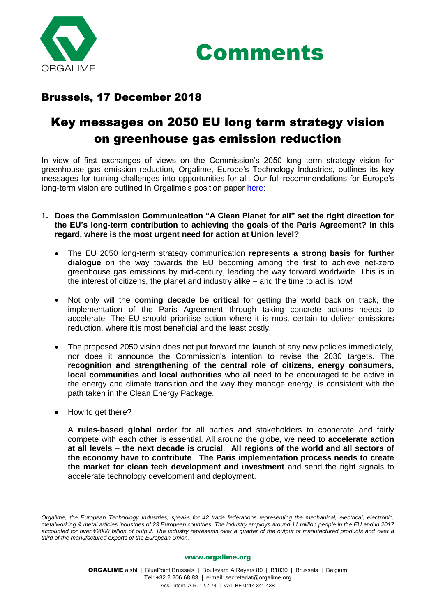

## Brussels, 17 December 2018

## Key messages on 2050 EU long term strategy vision on greenhouse gas emission reduction

In view of first exchanges of views on the Commission's 2050 long term strategy vision for greenhouse gas emission reduction, Orgalime, Europe's Technology Industries, outlines its key messages for turning challenges into opportunities for all. Our full recommendations for Europe's long-term vision are outlined in Orgalime's position paper [here:](http://www.orgalime.org/sites/default/files/position-papers/Orgalime%20PP_EU%20longterm%20GHG%20emission%20reduction%20strategy_9_October_2018_final.pdf)

- **1. Does the Commission Communication "A Clean Planet for all" set the right direction for the EU's long-term contribution to achieving the goals of the Paris Agreement? In this regard, where is the most urgent need for action at Union level?** 
	- The EU 2050 long-term strategy communication **represents a strong basis for further dialogue** on the way towards the EU becoming among the first to achieve net-zero greenhouse gas emissions by mid-century, leading the way forward worldwide. This is in the interest of citizens, the planet and industry alike – and the time to act is now!
	- Not only will the **coming decade be critical** for getting the world back on track, the implementation of the Paris Agreement through taking concrete actions needs to accelerate. The EU should prioritise action where it is most certain to deliver emissions reduction, where it is most beneficial and the least costly.
	- The proposed 2050 vision does not put forward the launch of any new policies immediately, nor does it announce the Commission's intention to revise the 2030 targets. The **recognition and strengthening of the central role of citizens, energy consumers, local communities and local authorities** who all need to be encouraged to be active in the energy and climate transition and the way they manage energy, is consistent with the path taken in the Clean Energy Package.
	- How to get there?

A **rules-based global order** for all parties and stakeholders to cooperate and fairly compete with each other is essential. All around the globe, we need to **accelerate action at all levels** – **the next decade is crucial**. **All regions of the world and all sectors of the economy have to contribute**. **The Paris implementation process needs to create the market for clean tech development and investment** and send the right signals to accelerate technology development and deployment.

*Orgalime, the European Technology Industries, speaks for 42 trade federations representing the mechanical, electrical, electronic, metalworking & metal articles industries of 23 European countries. The industry employs around 11 million people in the EU and in 2017 accounted for over €2000 billion of output. The industry represents over a quarter of the output of manufactured products and over a third of the manufactured exports of the European Union.*

[www.orgalime.org](http://www.orgalime.org/)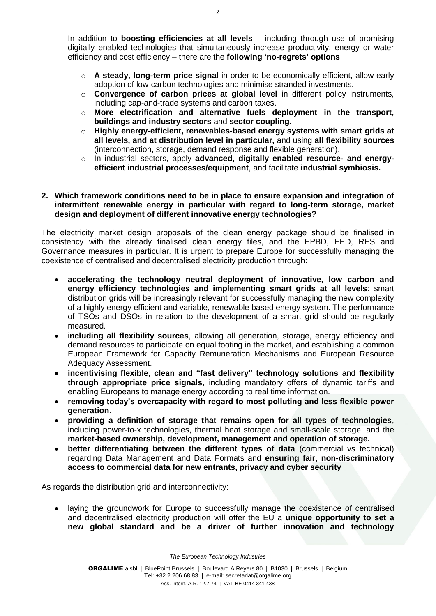In addition to **boosting efficiencies at all levels** – including through use of promising digitally enabled technologies that simultaneously increase productivity, energy or water efficiency and cost efficiency – there are the **following 'no-regrets' options**:

- o **A steady, long-term price signal** in order to be economically efficient, allow early adoption of low-carbon technologies and minimise stranded investments.
- o **Convergence of carbon prices at global level** in different policy instruments, including cap-and-trade systems and carbon taxes.
- o **More electrification and alternative fuels deployment in the transport, buildings and industry sectors** and **sector coupling**.
- o **Highly energy-efficient, renewables-based energy systems with smart grids at all levels, and at distribution level in particular,** and using **all flexibility sources**  (interconnection, storage, demand response and flexible generation).
- o In industrial sectors, apply **advanced, digitally enabled resource- and energyefficient industrial processes/equipment**, and facilitate **industrial symbiosis.**

## **2. Which framework conditions need to be in place to ensure expansion and integration of intermittent renewable energy in particular with regard to long-term storage, market design and deployment of different innovative energy technologies?**

The electricity market design proposals of the clean energy package should be finalised in consistency with the already finalised clean energy files, and the EPBD, EED, RES and Governance measures in particular. It is urgent to prepare Europe for successfully managing the coexistence of centralised and decentralised electricity production through:

- **accelerating the technology neutral deployment of innovative, low carbon and energy efficiency technologies and implementing smart grids at all levels**: smart distribution grids will be increasingly relevant for successfully managing the new complexity of a highly energy efficient and variable, renewable based energy system. The performance of TSOs and DSOs in relation to the development of a smart grid should be regularly measured.
- i**ncluding all flexibility sources**, allowing all generation, storage, energy efficiency and demand resources to participate on equal footing in the market, and establishing a common European Framework for Capacity Remuneration Mechanisms and European Resource Adequacy Assessment.
- **incentivising flexible, clean and "fast delivery" technology solutions** and **flexibility through appropriate price signals**, including mandatory offers of dynamic tariffs and enabling Europeans to manage energy according to real time information.
- **removing today's overcapacity with regard to most polluting and less flexible power generation**.
- **providing a definition of storage that remains open for all types of technologies**, including power-to-x technologies, thermal heat storage and small-scale storage, and the **market-based ownership, development, management and operation of storage.**
- **better differentiating between the different types of data** (commercial vs technical) regarding Data Management and Data Formats and **ensuring fair, non-discriminatory access to commercial data for new entrants, privacy and cyber security**

As regards the distribution grid and interconnectivity:

• laying the groundwork for Europe to successfully manage the coexistence of centralised and decentralised electricity production will offer the EU a **unique opportunity to set a new global standard and be a driver of further innovation and technology** 

*[The European Technology Industries](http://www.orgalime.org/)*